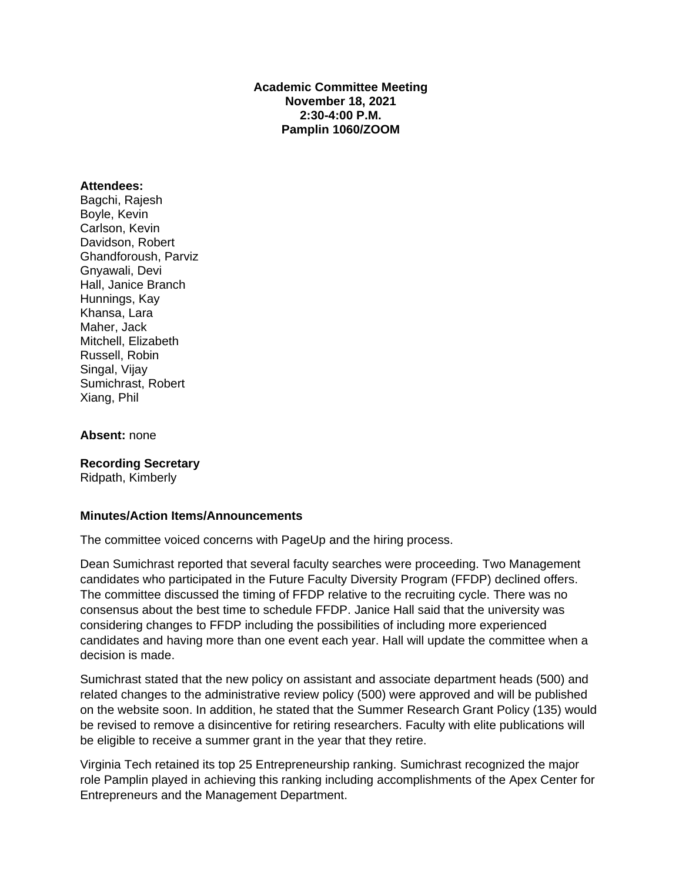**Academic Committee Meeting November 18, 2021 2:30-4:00 P.M. Pamplin 1060/ZOOM** 

### **Attendees:**

Bagchi, Rajesh Boyle, Kevin Carlson, Kevin Davidson, Robert Ghandforoush, Parviz Gnyawali, Devi Hall, Janice Branch Hunnings, Kay Khansa, Lara Maher, Jack Mitchell, Elizabeth Russell, Robin Singal, Vijay Sumichrast, Robert Xiang, Phil

### **Absent:** none

**Recording Secretary**

Ridpath, Kimberly

## **Minutes/Action Items/Announcements**

The committee voiced concerns with PageUp and the hiring process.

Dean Sumichrast reported that several faculty searches were proceeding. Two Management candidates who participated in the Future Faculty Diversity Program (FFDP) declined offers. The committee discussed the timing of FFDP relative to the recruiting cycle. There was no consensus about the best time to schedule FFDP. Janice Hall said that the university was considering changes to FFDP including the possibilities of including more experienced candidates and having more than one event each year. Hall will update the committee when a decision is made.

Sumichrast stated that the new policy on assistant and associate department heads (500) and related changes to the administrative review policy (500) were approved and will be published on the website soon. In addition, he stated that the Summer Research Grant Policy (135) would be revised to remove a disincentive for retiring researchers. Faculty with elite publications will be eligible to receive a summer grant in the year that they retire.

Virginia Tech retained its top 25 Entrepreneurship ranking. Sumichrast recognized the major role Pamplin played in achieving this ranking including accomplishments of the Apex Center for Entrepreneurs and the Management Department.